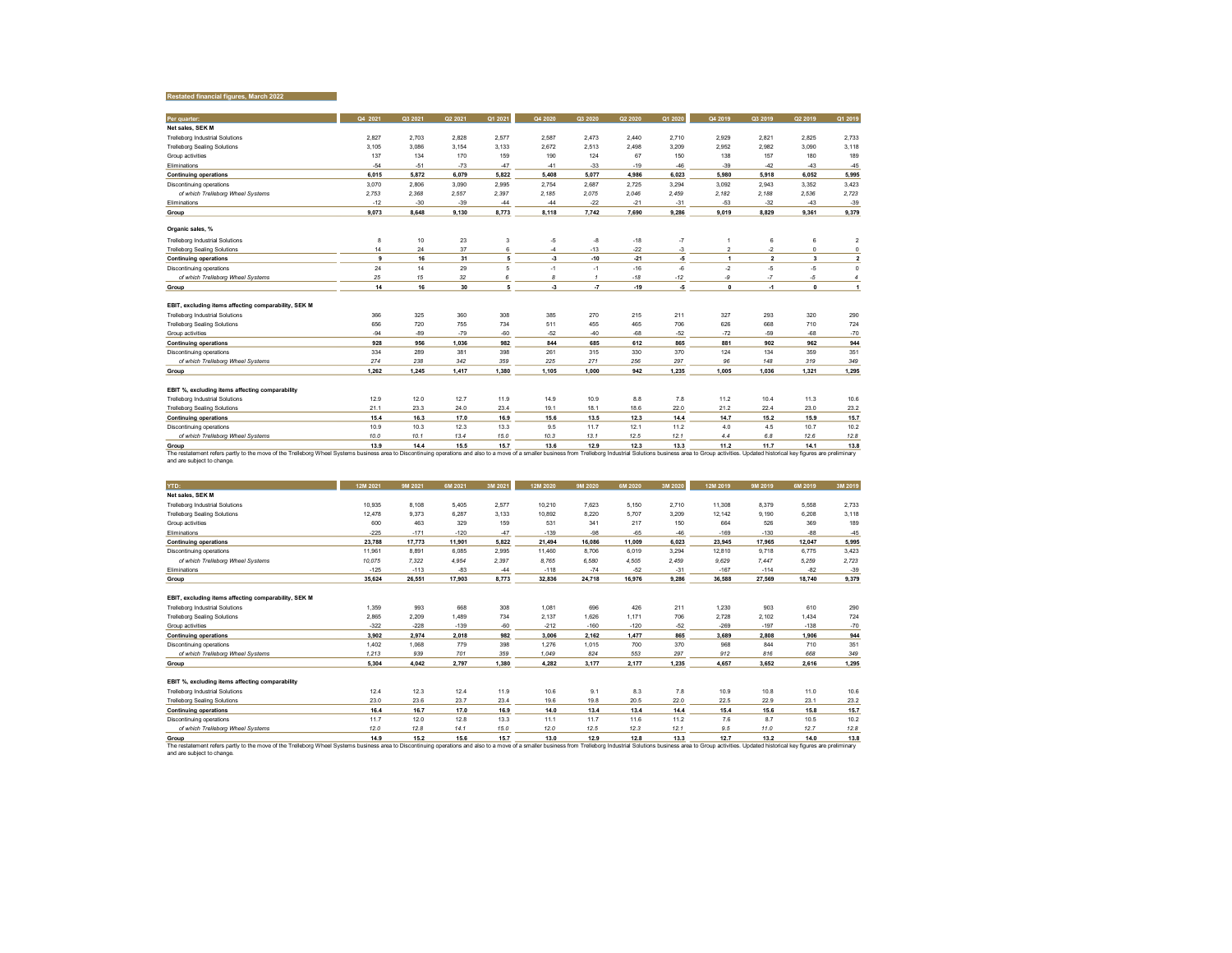## Restated financial figures, March 2022

| Per quarter:                                                                                                                                                                                                                   | Q4 2021 | Q3 2021 | Q2 2021 | Q1 2021 | Q4 2020 | Q3 2020      | Q2 2020 | Q1 2020 | Q4 2019        | Q3 2019        | Q2 2019                 | Q1 2019        |
|--------------------------------------------------------------------------------------------------------------------------------------------------------------------------------------------------------------------------------|---------|---------|---------|---------|---------|--------------|---------|---------|----------------|----------------|-------------------------|----------------|
| Net sales, SEK M                                                                                                                                                                                                               |         |         |         |         |         |              |         |         |                |                |                         |                |
| <b>Trelleborg Industrial Solutions</b>                                                                                                                                                                                         | 2.827   | 2.703   | 2.828   | 2.577   | 2.587   | 2.473        | 2.440   | 2.710   | 2.929          | 2.821          | 2.825                   | 2,733          |
| <b>Trelleborg Sealing Solutions</b>                                                                                                                                                                                            | 3,105   | 3.086   | 3.154   | 3,133   | 2.672   | 2.513        | 2.498   | 3.209   | 2.952          | 2.982          | 3.090                   | 3,118          |
| Group activities                                                                                                                                                                                                               | 137     | 134     | 170     | 159     | 190     | 124          | 67      | 150     | 138            | 157            | 180                     | 189            |
| Eliminations                                                                                                                                                                                                                   | $-54$   | $-51$   | $-73$   | $-47$   | $-41$   | $-33$        | $-19$   | $-46$   | $-39$          | $-42$          | $-43$                   | $-45$          |
| <b>Continuing operations</b>                                                                                                                                                                                                   | 6.015   | 5.872   | 6.079   | 5,822   | 5.408   | 5.077        | 4,986   | 6.023   | 5.980          | 5,918          | 6.052                   | 5,995          |
| Discontinuing operations                                                                                                                                                                                                       | 3,070   | 2,806   | 3,090   | 2,995   | 2,754   | 2,687        | 2,725   | 3.294   | 3.092          | 2,943          | 3.352                   | 3,423          |
| of which Trelleborg Wheel Systems                                                                                                                                                                                              | 2.753   | 2.368   | 2.557   | 2.397   | 2.185   | 2.075        | 2.046   | 2.459   | 2.182          | 2.188          | 2.536                   | 2.723          |
| Eliminations                                                                                                                                                                                                                   | $-12$   | $-30$   | $-39$   | $-44$   | $-44$   | $-22$        | $-21$   | $-31$   | $-53$          | $-32$          | $-43$                   | $-39$          |
| Group                                                                                                                                                                                                                          | 9.073   | 8.648   | 9.130   | 8.773   | 8.118   | 7.742        | 7.690   | 9.286   | 9.019          | 8.829          | 9.361                   | 9.379          |
|                                                                                                                                                                                                                                |         |         |         |         |         |              |         |         |                |                |                         |                |
| Organic sales, %                                                                                                                                                                                                               |         |         |         |         |         |              |         |         |                |                |                         |                |
| <b>Trelleborg Industrial Solutions</b>                                                                                                                                                                                         | 8       | 10      | 23      | 3       | $-5$    | $-8$         | $-18$   | $-7$    | 1              | 6              | 6                       | $\overline{2}$ |
| <b>Trelleborg Sealing Solutions</b>                                                                                                                                                                                            | 14      | 24      | 37      | 6       | $-4$    | $-13$        | $-22$   | $-3$    | $\overline{2}$ | $-2$           | $\mathbf 0$             | $\,$ 0         |
| <b>Continuing operations</b>                                                                                                                                                                                                   | 9       | 16      | 31      | 5       | $-3$    | $-10$        | $-21$   | -5      | 1              | $\overline{2}$ | $\overline{\mathbf{3}}$ | $\overline{2}$ |
| Discontinuing operations                                                                                                                                                                                                       | 24      | 14      | 29      | 5       | $-1$    | $-1$         | $-16$   | $-6$    | $-2$           | $-5$           | $-5$                    | $\circ$        |
| of which Trelleborg Wheel Systems                                                                                                                                                                                              | 25      | 15      | 32      | 6       | 8       | $\mathbf{1}$ | $-18$   | $-12$   | -9             | $-7$           | -5                      | 4              |
| Group                                                                                                                                                                                                                          | 14      | 16      | 30      | 5       | $-3$    | $-7$         | $-19$   | -5      | $\mathbf{0}$   | $-1$           | $\mathbf{0}$            | $\overline{1}$ |
|                                                                                                                                                                                                                                |         |         |         |         |         |              |         |         |                |                |                         |                |
| EBIT, excluding items affecting comparability, SEK M                                                                                                                                                                           |         |         |         |         |         |              |         |         |                |                |                         |                |
| <b>Trelleborg Industrial Solutions</b>                                                                                                                                                                                         | 366     | 325     | 360     | 308     | 385     | 270          | 215     | 211     | 327            | 293            | 320                     | 290            |
| <b>Trelleborg Sealing Solutions</b>                                                                                                                                                                                            | 656     | 720     | 755     | 734     | 511     | 455          | 465     | 706     | 626            | 668            | 710                     | 724            |
| Group activities                                                                                                                                                                                                               | $-94$   | $-89$   | $-79$   | $-60$   | $-52$   | $-40$        | $-68$   | $-52$   | $-72$          | $-59$          | $-68$                   | $-70$          |
| <b>Continuing operations</b>                                                                                                                                                                                                   | 928     | 956     | 1.036   | 982     | 844     | 685          | 612     | 865     | 881            | 902            | 962                     | 944            |
| Discontinuing operations                                                                                                                                                                                                       | 334     | 289     | 381     | 398     | 261     | 315          | 330     | 370     | 124            | 134            | 359                     | 351            |
| of which Trelleborg Wheel Systems                                                                                                                                                                                              | 274     | 238     | 342     | 359     | 225     | 271          | 256     | 297     | 96             | 148            | 319                     | 349            |
| Group                                                                                                                                                                                                                          | 1.262   | 1.245   | 1.417   | 1.380   | 1.105   | 1.000        | 942     | 1.235   | 1.005          | 1.036          | 1.321                   | 1.295          |
|                                                                                                                                                                                                                                |         |         |         |         |         |              |         |         |                |                |                         |                |
| EBIT %, excluding items affecting comparability                                                                                                                                                                                |         |         |         |         |         |              |         |         |                |                |                         |                |
| <b>Trelleborg Industrial Solutions</b>                                                                                                                                                                                         | 12.9    | 12.0    | 12.7    | 11.9    | 14.9    | 10.9         | 8.8     | 7.8     | 11.2           | 10.4           | 11.3                    | 10.6           |
| <b>Trelleborg Sealing Solutions</b>                                                                                                                                                                                            | 21.1    | 23.3    | 24.0    | 23.4    | 19.1    | 18.1         | 18.6    | 22.0    | 21.2           | 22.4           | 23.0                    | 23.2           |
| <b>Continuing operations</b>                                                                                                                                                                                                   | 15.4    | 16.3    | 17.0    | 16.9    | 15.6    | 13.5         | 12.3    | 14.4    | 14.7           | 15.2           | 15.9                    | 15.7           |
| Discontinuing operations                                                                                                                                                                                                       | 10.9    | 10.3    | 12.3    | 13.3    | 9.5     | 11.7         | 12.1    | 11.2    | 4.0            | 4.5            | 10.7                    | 10.2           |
| of which Trelleborg Wheel Systems                                                                                                                                                                                              | 10.0    | 10.1    | 13.4    | 15.0    | 10.3    | 13.1         | 12.5    | 12.1    | 4.4            | 6.8            | 12.6                    | 12.8           |
| Group                                                                                                                                                                                                                          | 13.9    | 14.4    | 15.5    | 15.7    | 13.6    | 12.9         | 12.3    | 13.3    | 11.2           | 11.7           | 14.1                    | 13.8           |
| The restatement refers partly to the move of the Trelleborg Wheel Systems business area to Discontinuing operations and also to a move of a smaller business from Trelleborg Industrial Solutions business area to Group activ |         |         |         |         |         |              |         |         |                |                |                         |                |

and are subject to change.

| 12M 2021 | 9M 2021                                                                                                                                                                                                                        | 3M 2021<br>6M 2021 | 12M 2020<br>9M 2020 | 6M 2020          | 3M 2020 | 12M 2019 | 9M 2019 | 6M 2019 | 3M 2019 |
|----------|--------------------------------------------------------------------------------------------------------------------------------------------------------------------------------------------------------------------------------|--------------------|---------------------|------------------|---------|----------|---------|---------|---------|
|          |                                                                                                                                                                                                                                |                    |                     |                  |         |          |         |         |         |
| 10.935   | 8.108                                                                                                                                                                                                                          | 2.577<br>5.405     | 10.210              | 7.623<br>5.150   | 2.710   | 11.308   | 8.379   | 5.558   | 2.733   |
| 12.478   | 9.373                                                                                                                                                                                                                          | 3.133<br>6.287     | 10.892              | 8.220<br>5.707   | 3.209   | 12.142   | 9.190   | 6.208   | 3.118   |
| 600      | 463                                                                                                                                                                                                                            | 329<br>159         | 531                 | 217<br>341       | 150     | 664      | 526     | 369     | 189     |
| $-225$   | $-171$                                                                                                                                                                                                                         | $-47$<br>$-120$    | $-139$              | -98<br>$-65$     | $-46$   | $-169$   | $-130$  | $-88$   | $-45$   |
| 23.788   | 17,773                                                                                                                                                                                                                         | 5.822<br>11.901    | 21.494              | 16,086<br>11.009 | 6.023   | 23.945   | 17,965  | 12.047  | 5.995   |
| 11.961   | 8.891                                                                                                                                                                                                                          | 2.995<br>6.085     | 11,460              | 8.706<br>6,019   | 3.294   | 12,810   | 9.718   | 6.775   | 3.423   |
| 10.075   | of which Trelleborg Wheel Systems<br>7.322                                                                                                                                                                                     | 2.397<br>4.954     | 8.765               | 6.580<br>4.505   | 2.459   | 9.629    | 7.447   | 5.259   | 2.723   |
| $-125$   | $-113$                                                                                                                                                                                                                         | $-83$<br>$-44$     | $-118$              | $-52$<br>$-74$   | $-31$   | $-167$   | $-114$  | $-82$   | $-39$   |
| 35.624   | 26.551                                                                                                                                                                                                                         | 17,903<br>8.773    | 32.836              | 24,718<br>16.976 | 9.286   | 36,588   | 27,569  | 18,740  | 9.379   |
|          |                                                                                                                                                                                                                                |                    |                     |                  |         |          |         |         |         |
|          | EBIT, excluding items affecting comparability, SEK M                                                                                                                                                                           |                    |                     |                  |         |          |         |         |         |
| 1.359    | 993                                                                                                                                                                                                                            | 668<br>308         | 1.081               | 426<br>696       | 211     | 1.230    | 903     | 610     | 290     |
| 2.865    | 2.209                                                                                                                                                                                                                          | 1.489<br>734       | 2.137               | 1.626<br>1.171   | 706     | 2.728    | 2.102   | 1.434   | 724     |
| $-322$   | $-228$                                                                                                                                                                                                                         | $-60$<br>$-139$    | $-212$              | $-120$<br>$-160$ | $-52$   | $-269$   | $-197$  | $-138$  | $-70$   |
| 3.902    | 2.974                                                                                                                                                                                                                          | 2.018<br>982       | 3.006               | 2.162<br>1.477   | 865     | 3.689    | 2.808   | 1.906   | 944     |
| 1,402    | 1.068                                                                                                                                                                                                                          | 398<br>779         | 1.276               | 1,015<br>700     | 370     | 968      | 844     | 710     | 351     |
| 1.213    | 939<br>of which Trellebora Wheel Systems                                                                                                                                                                                       | 359<br>701         | 1.049               | 824<br>553       | 297     | 912      | 816     | 668     | 349     |
| 5.304    | 4.042                                                                                                                                                                                                                          | 2.797<br>1.380     | 4.282               | 3.177<br>2.177   | 1.235   | 4.657    | 3.652   | 2.616   | 1.295   |
|          |                                                                                                                                                                                                                                |                    |                     |                  |         |          |         |         |         |
|          | EBIT %, excluding items affecting comparability                                                                                                                                                                                |                    |                     |                  |         |          |         |         |         |
| 12.4     | 12.3                                                                                                                                                                                                                           | 11.9<br>12.4       | 10.6                | 8.3<br>9.1       | 7.8     | 10.9     | 10.8    | 11.0    | 10.6    |
| 23.0     | 23.6                                                                                                                                                                                                                           | 23.7<br>23.4       | 19.6                | 19.8<br>20.5     | 22.0    | 22.5     | 22.9    | 23.1    | 23.2    |
| 16.4     | 16.7                                                                                                                                                                                                                           | 16.9<br>17.0       | 14.0                | 13.4<br>13.4     | 14.4    | 15.4     | 15.6    | 15.8    | 15.7    |
| 11.7     | 12.0                                                                                                                                                                                                                           | 12.8<br>13.3       | 11.1                | 11.7<br>11.6     | 11.2    | 7.6      | 8.7     | 10.5    | 10.2    |
| 12.0     | of which Trelleborg Wheel Systems<br>12.8                                                                                                                                                                                      | 14.1<br>15.0       | 12.0                | 12.5<br>12.3     | 12.1    | 9.5      | 11.0    | 12.7    | 12.8    |
| 14.9     | 15.2                                                                                                                                                                                                                           | 15.7<br>15.6       | 13.0                | 12.9<br>12.8     | 13.3    | 12.7     | 13.2    | 14.0    | 13.8    |
|          | The restatement refers partly to the move of the Trelleborg Wheel Systems business area to Discontinuing operations and also to a move of a smaller business from Trelleborg Industrial Solutions business area to Group activ |                    |                     |                  |         |          |         |         |         |

I he restatement refers partly<br>and are subject to change.